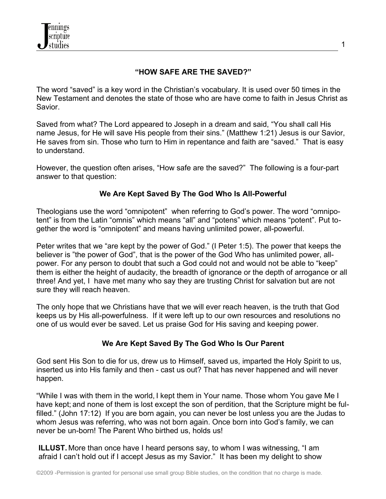

# **"HOW SAFE ARE THE SAVED?"**

The word "saved" is a key word in the Christian's vocabulary. It is used over 50 times in the New Testament and denotes the state of those who are have come to faith in Jesus Christ as Savior.

Saved from what? The Lord appeared to Joseph in a dream and said, "You shall call His name Jesus, for He will save His people from their sins." (Matthew 1:21) Jesus is our Savior, He saves from sin. Those who turn to Him in repentance and faith are "saved." That is easy to understand.

However, the question often arises, "How safe are the saved?" The following is a four-part answer to that question:

### **We Are Kept Saved By The God Who Is All-Powerful**

Theologians use the word "omnipotent" when referring to God's power. The word "omnipotent" is from the Latin "omnis" which means "all" and "potens" which means "potent". Put together the word is "omnipotent" and means having unlimited power, all-powerful.

Peter writes that we "are kept by the power of God." (I Peter 1:5). The power that keeps the believer is "the power of God", that is the power of the God Who has unlimited power, allpower. For any person to doubt that such a God could not and would not be able to "keep" them is either the height of audacity, the breadth of ignorance or the depth of arrogance or all three! And yet, I have met many who say they are trusting Christ for salvation but are not sure they will reach heaven.

The only hope that we Christians have that we will ever reach heaven, is the truth that God keeps us by His all-powerfulness. If it were left up to our own resources and resolutions no one of us would ever be saved. Let us praise God for His saving and keeping power.

#### **We Are Kept Saved By The God Who Is Our Parent**

God sent His Son to die for us, drew us to Himself, saved us, imparted the Holy Spirit to us, inserted us into His family and then - cast us out? That has never happened and will never happen.

"While I was with them in the world, I kept them in Your name. Those whom You gave Me I have kept; and none of them is lost except the son of perdition, that the Scripture might be fulfilled." (John 17:12) If you are born again, you can never be lost unless you are the Judas to whom Jesus was referring, who was not born again. Once born into God's family, we can never be un-born! The Parent Who birthed us, holds us!

**ILLUST.** More than once have I heard persons say, to whom I was witnessing, "I am afraid I can't hold out if I accept Jesus as my Savior." It has been my delight to show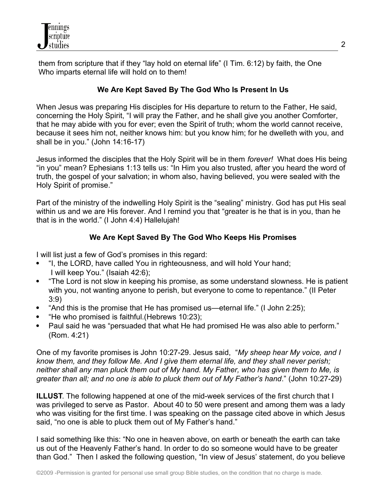

 them from scripture that if they "lay hold on eternal life" (I Tim. 6:12) by faith, the One Who imparts eternal life will hold on to them!

# **We Are Kept Saved By The God Who Is Present In Us**

When Jesus was preparing His disciples for His departure to return to the Father, He said, concerning the Holy Spirit, "I will pray the Father, and he shall give you another Comforter, that he may abide with you for ever; even the Spirit of truth; whom the world cannot receive, because it sees him not, neither knows him: but you know him; for he dwelleth with you, and shall be in you." (John 14:16-17)

Jesus informed the disciples that the Holy Spirit will be in them *forever!* What does His being "in you" mean? Ephesians 1:13 tells us: "In Him you also trusted*,* after you heard the word of truth, the gospel of your salvation; in whom also, having believed, you were sealed with the Holy Spirit of promise."

Part of the ministry of the indwelling Holy Spirit is the "sealing" ministry. God has put His seal within us and we are His forever. And I remind you that "greater is he that is in you, than he that is in the world." (I John 4:4) Hallelujah!

# **We Are Kept Saved By The God Who Keeps His Promises**

I will list just a few of God's promises in this regard:

- "I, the LORD, have called You in righteousness, and will hold Your hand; I will keep You." (Isaiah 42:6);
- "The Lord is not slow in keeping his promise, as some understand slowness. He is patient with you, not wanting anyone to perish, but everyone to come to repentance." (II Peter 3:9)
- "And this is the promise that He has promised us—eternal life." (I John 2:25);
- "He who promised is faithful. (Hebrews 10:23);
- Paul said he was "persuaded that what He had promised He was also able to perform." (Rom. 4:21)

One of my favorite promises is John 10:27-29. Jesus said, "*My sheep hear My voice, and I know them, and they follow Me. And I give them eternal life, and they shall never perish; neither shall any man pluck them out of My hand. My Father, who has given them to Me, is greater than all; and no one is able to pluck them out of My Father's hand*." (John 10:27-29)

**ILLUST**. The following happened at one of the mid-week services of the first church that I was privileged to serve as Pastor. About 40 to 50 were present and among them was a lady who was visiting for the first time. I was speaking on the passage cited above in which Jesus said, "no one is able to pluck them out of My Father's hand."

I said something like this: "No one in heaven above, on earth or beneath the earth can take us out of the Heavenly Father's hand. In order to do so someone would have to be greater than God." Then I asked the following question, "In view of Jesus' statement, do you believe